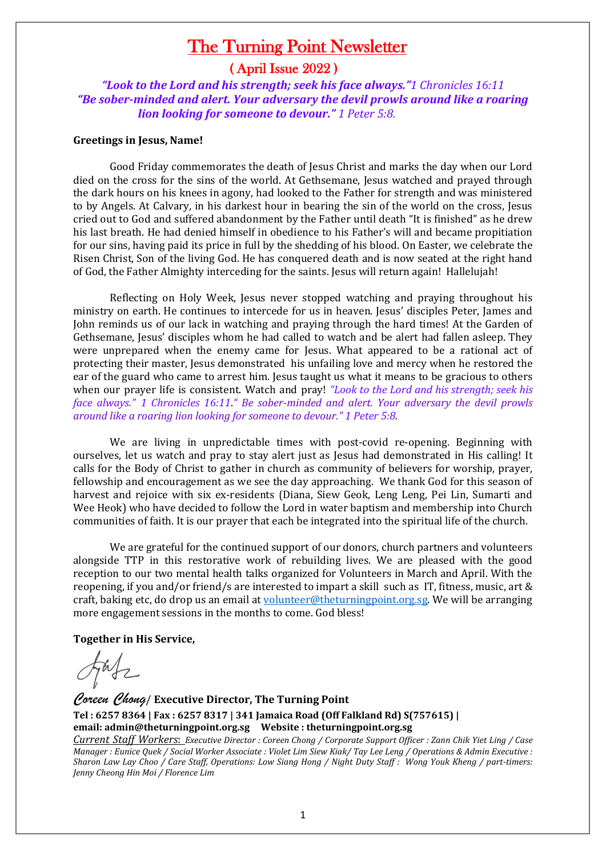# The Turning Point Newsletter

## ( April Issue 2022 )

 *"Look to the Lord and his strength; seek his face always."1 Chronicles 16:11 "Be sober-minded and alert. Your adversary the devil prowls around like a roaring lion looking for someone to devour." 1 Peter 5:8.*

#### **Greetings in Jesus, Name!**

Good Friday commemorates the death of Jesus Christ and marks the day when our Lord died on the cross for the sins of the world. At Gethsemane, Jesus watched and prayed through the dark hours on his knees in agony, had looked to the Father for strength and was ministered to by Angels. At Calvary, in his darkest hour in bearing the sin of the world on the cross, Jesus cried out to God and suffered abandonment by the Father until death "It is finished" as he drew his last breath. He had denied himself in obedience to his Father's will and became propitiation for our sins, having paid its price in full by the shedding of his blood. On Easter, we celebrate the Risen Christ, Son of the living God. He has conquered death and is now seated at the right hand of God, the Father Almighty interceding for the saints. Jesus will return again! Hallelujah!

Reflecting on Holy Week, Jesus never stopped watching and praying throughout his ministry on earth. He continues to intercede for us in heaven. Jesus' disciples Peter, James and John reminds us of our lack in watching and praying through the hard times! At the Garden of Gethsemane, Jesus' disciples whom he had called to watch and be alert had fallen asleep. They were unprepared when the enemy came for Jesus. What appeared to be a rational act of protecting their master, Jesus demonstrated his unfailing love and mercy when he restored the ear of the guard who came to arrest him. Jesus taught us what it means to be gracious to others when our prayer life is consistent. Watch and pray! *"Look to the Lord and his strength; seek his face always." 1 Chronicles 16:11*.*" Be sober-minded and alert. Your adversary the devil prowls around like a roaring lion looking for someone to devour." 1 Peter 5:8.*

We are living in unpredictable times with post-covid re-opening. Beginning with ourselves, let us watch and pray to stay alert just as Jesus had demonstrated in His calling! It calls for the Body of Christ to gather in church as community of believers for worship, prayer, fellowship and encouragement as we see the day approaching. We thank God for this season of harvest and rejoice with six ex-residents (Diana, Siew Geok, Leng Leng, Pei Lin, Sumarti and Wee Heok) who have decided to follow the Lord in water baptism and membership into Church communities of faith. It is our prayer that each be integrated into the spiritual life of the church.

We are grateful for the continued support of our donors, church partners and volunteers alongside TTP in this restorative work of rebuilding lives. We are pleased with the good reception to our two mental health talks organized for Volunteers in March and April. With the reopening, if you and/or friend/s are interested to impart a skill such as IT, fitness, music, art & craft, baking etc, do drop us an email at [volunteer@theturningpoint.org.sg.](mailto:volunteer@theturningpoint.org.sg) We will be arranging more engagement sessions in the months to come. God bless!

**Together in His Service,**

*Coreen Chong*/ **Executive Director, The Turning Point Tel : 6257 8364 | Fax : 6257 8317 | 341 Jamaica Road (Off Falkland Rd) S(757615) | email: admin@theturningpoint.org.sg Website : theturningpoint.org.sg** 

*Current Staff Workers*: *Executive Director : Coreen Chong / Corporate Support Officer : Zann Chik Yiet Ling / Case Manager : Eunice Quek / Social Worker Associate : Violet Lim Siew Kiak/ Tay Lee Leng / Operations & Admin Executive : Sharon Law Lay Choo / Care Staff, Operations: Low Siang Hong / Night Duty Staff : Wong Youk Kheng / part-timers: Jenny Cheong Hin Moi / Florence Lim*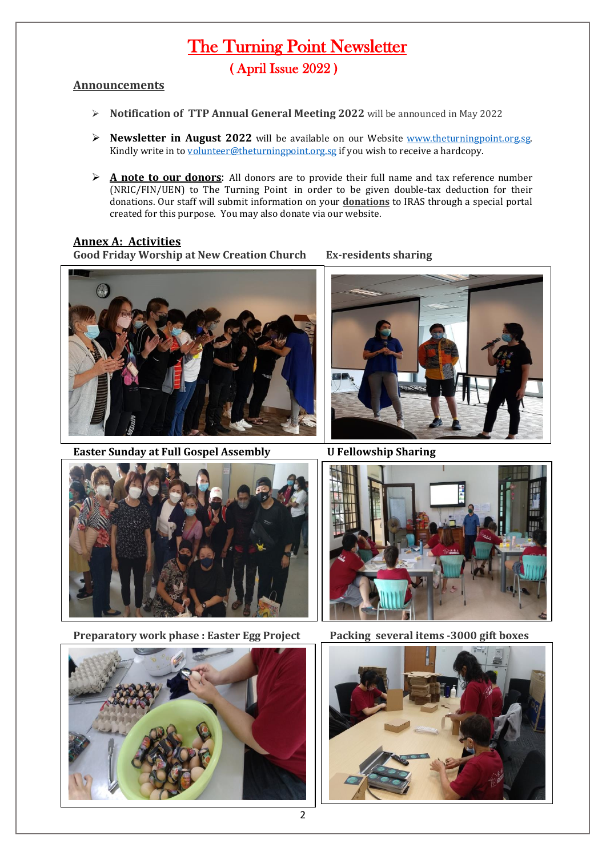# The Turning Point Newsletter ( April Issue 2022 )

### **Announcements**

- ➢ **Notification of TTP Annual General Meeting 2022** will be announced in May 2022
- ➢ **Newsletter in August 2022** will be available on our Website [www.theturningpoint.org.sg.](http://www.theturningpoint.org.sg/)  Kindly write in t[o volunteer@theturningpoint.org.sg](mailto:volunteer@theturningpoint.org.sg) if you wish to receive a hardcopy.
- ➢ **A note to our donors**: All donors are to provide their full name and tax reference number (NRIC/FIN/UEN) to The Turning Point in order to be given double-tax deduction for their donations. Our staff will submit information on your **donations** to IRAS through a special portal created for this purpose. You may also donate via our website.

### **Annex A: Activities**

**Good Friday Worship at New Creation Church Ex-residents sharing**



**Easter Sunday at Full Gospel Assembly U Fellowship Sharing** 





**Preparatory work phase : Easter Egg Project Packing several items -3000 gift boxes** 







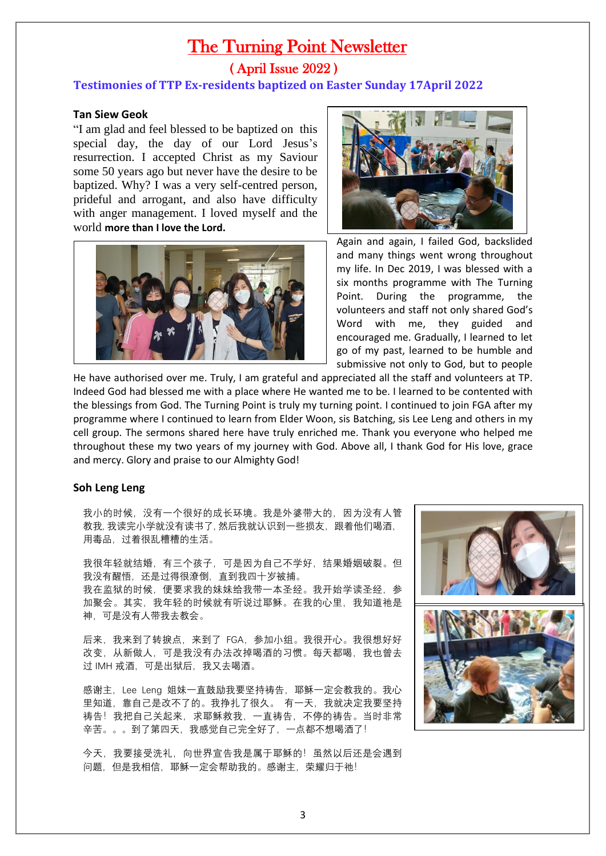# The Turning Point Newsletter ( April Issue 2022 )

### **Testimonies of TTP Ex-residents baptized on Easter Sunday 17April 2022**

### **Tan Siew Geok**

"I am glad and feel blessed to be baptized on this special day, the day of our Lord Jesus's resurrection. I accepted Christ as my Saviour some 50 years ago but never have the desire to be baptized. Why? I was a very self-centred person, prideful and arrogant, and also have difficulty with anger management. I loved myself and the world **more than I love the Lord.** 





Again and again, I failed God, backslided and many things went wrong throughout my life. In Dec 2019, I was blessed with a six months programme with The Turning Point. During the programme, the volunteers and staff not only shared God's Word with me, they guided and encouraged me. Gradually, I learned to let go of my past, learned to be humble and submissive not only to God, but to people

He have authorised over me. Truly, I am grateful and appreciated all the staff and volunteers at TP. Indeed God had blessed me with a place where He wanted me to be. I learned to be contented with the blessings from God. The Turning Point is truly my turning point. I continued to join FGA after my programme where I continued to learn from Elder Woon, sis Batching, sis Lee Leng and others in my cell group. The sermons shared here have truly enriched me. Thank you everyone who helped me throughout these my two years of my journey with God. Above all, I thank God for His love, grace and mercy. Glory and praise to our Almighty God!

#### **Soh Leng Leng**

我小的时候,没有一个很好的成长环境。我是外婆带大的,因为没有人管 教我, 我读完小学就没有读书了, 然后我就认识到一些损友,跟着他们喝酒, 用毒品,过着很乱糟糟的生活。

我很年轻就结婚,有三个孩子,可是因为自己不学好,结果婚姻破裂。但 我没有醒悟,还是过得很潦倒,直到我四十岁被捕。 我在监狱的时候,便要求我的妹妹给我带一本圣经。我开始学读圣经,参 加聚会。其实,我年轻的时候就有听说过耶稣。在我的心里,我知道祂是 神,可是没有人带我去教会。

后来,我来到了转捩点,来到了 FGA,参加小组。我很开心。我很想好好 改变, 从新做人, 可是我没有办法改掉喝酒的习惯。每天都喝, 我也曾去 过 IMH 戒酒,可是出狱后,我又去喝酒。

感谢主, Lee Leng 姐妹一直鼓励我要坚持祷告, 耶稣一定会教我的。我心 里知道,靠自己是改不了的。我挣扎了很久。 有一天,我就决定我要坚持 祷告!我把自己关起来,求耶稣救我,一直祷告,不停的祷告。当时非常 辛苦。。。到了第四天,我感觉自己完全好了,一点都不想喝酒了!

今天,我要接受洗礼,向世界宣告我是属于耶稣的!虽然以后还是会遇到 问题, 但是我相信, 耶稣一定会帮助我的。感谢主, 荣耀归于祂!